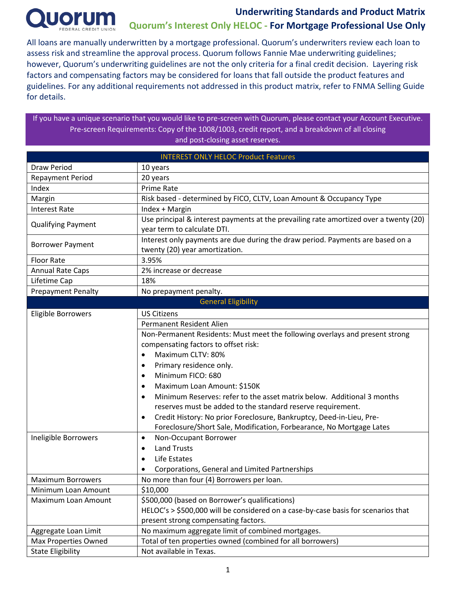

All loans are manually underwritten by a mortgage professional. Quorum's underwriters review each loan to assess risk and streamline the approval process. Quorum follows Fannie Mae underwriting guidelines; however, Quorum's underwriting guidelines are not the only criteria for a final credit decision. Layering risk factors and compensating factors may be considered for loans that fall outside the product features and guidelines. For any additional requirements not addressed in this product matrix, refer to FNMA Selling Guide for details.

If you have a unique scenario that you would like to pre-screen with Quorum, please contact your Account Executive. Pre-screen Requirements: Copy of the 1008/1003, credit report, and a breakdown of all closing and post-closing asset reserves.

| <b>INTEREST ONLY HELOC Product Features</b> |                                                                                                                      |  |  |  |  |  |
|---------------------------------------------|----------------------------------------------------------------------------------------------------------------------|--|--|--|--|--|
| <b>Draw Period</b>                          | 10 years                                                                                                             |  |  |  |  |  |
| <b>Repayment Period</b>                     | 20 years                                                                                                             |  |  |  |  |  |
| Index                                       | <b>Prime Rate</b>                                                                                                    |  |  |  |  |  |
| Margin                                      | Risk based - determined by FICO, CLTV, Loan Amount & Occupancy Type                                                  |  |  |  |  |  |
| <b>Interest Rate</b>                        | Index + Margin                                                                                                       |  |  |  |  |  |
| <b>Qualifying Payment</b>                   | Use principal & interest payments at the prevailing rate amortized over a twenty (20)<br>year term to calculate DTI. |  |  |  |  |  |
| <b>Borrower Payment</b>                     | Interest only payments are due during the draw period. Payments are based on a<br>twenty (20) year amortization.     |  |  |  |  |  |
| <b>Floor Rate</b>                           | 3.95%                                                                                                                |  |  |  |  |  |
| <b>Annual Rate Caps</b>                     | 2% increase or decrease                                                                                              |  |  |  |  |  |
| Lifetime Cap                                | 18%                                                                                                                  |  |  |  |  |  |
| <b>Prepayment Penalty</b>                   | No prepayment penalty.                                                                                               |  |  |  |  |  |
|                                             | <b>General Eligibility</b>                                                                                           |  |  |  |  |  |
| Eligible Borrowers                          | <b>US Citizens</b>                                                                                                   |  |  |  |  |  |
|                                             | <b>Permanent Resident Alien</b>                                                                                      |  |  |  |  |  |
|                                             | Non-Permanent Residents: Must meet the following overlays and present strong                                         |  |  |  |  |  |
|                                             | compensating factors to offset risk:                                                                                 |  |  |  |  |  |
|                                             | Maximum CLTV: 80%<br>$\bullet$                                                                                       |  |  |  |  |  |
|                                             | Primary residence only.<br>$\bullet$                                                                                 |  |  |  |  |  |
|                                             | Minimum FICO: 680<br>$\bullet$                                                                                       |  |  |  |  |  |
|                                             | Maximum Loan Amount: \$150K<br>$\bullet$                                                                             |  |  |  |  |  |
|                                             | Minimum Reserves: refer to the asset matrix below. Additional 3 months<br>$\bullet$                                  |  |  |  |  |  |
|                                             | reserves must be added to the standard reserve requirement.                                                          |  |  |  |  |  |
|                                             | Credit History: No prior Foreclosure, Bankruptcy, Deed-in-Lieu, Pre-<br>$\bullet$                                    |  |  |  |  |  |
|                                             | Foreclosure/Short Sale, Modification, Forbearance, No Mortgage Lates                                                 |  |  |  |  |  |
| Ineligible Borrowers                        | Non-Occupant Borrower<br>$\bullet$                                                                                   |  |  |  |  |  |
|                                             | <b>Land Trusts</b><br>$\bullet$                                                                                      |  |  |  |  |  |
|                                             | Life Estates<br>$\bullet$                                                                                            |  |  |  |  |  |
|                                             | Corporations, General and Limited Partnerships                                                                       |  |  |  |  |  |
| <b>Maximum Borrowers</b>                    | No more than four (4) Borrowers per loan.                                                                            |  |  |  |  |  |
| Minimum Loan Amount                         | \$10,000                                                                                                             |  |  |  |  |  |
| Maximum Loan Amount                         | \$500,000 (based on Borrower's qualifications)                                                                       |  |  |  |  |  |
|                                             | HELOC's > \$500,000 will be considered on a case-by-case basis for scenarios that                                    |  |  |  |  |  |
|                                             | present strong compensating factors.                                                                                 |  |  |  |  |  |
| Aggregate Loan Limit                        | No maximum aggregate limit of combined mortgages.                                                                    |  |  |  |  |  |
| <b>Max Properties Owned</b>                 | Total of ten properties owned (combined for all borrowers)                                                           |  |  |  |  |  |
| <b>State Eligibility</b>                    | Not available in Texas.                                                                                              |  |  |  |  |  |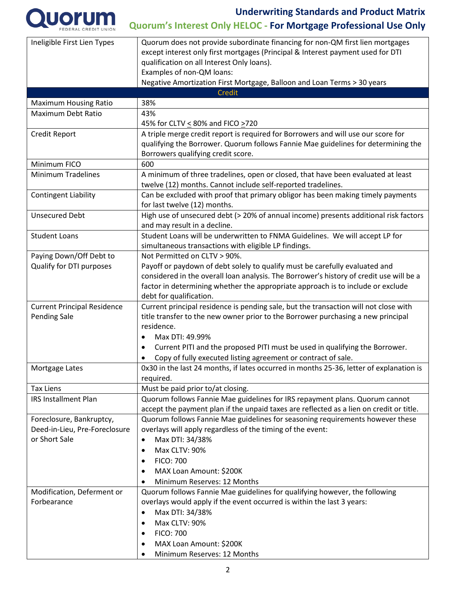

# **Underwriting Standards and Product Matrix**

# **Quorum's Interest Only HELOC - For Mortgage Professional Use Only**

| Ineligible First Lien Types        | Quorum does not provide subordinate financing for non-QM first lien mortgages            |
|------------------------------------|------------------------------------------------------------------------------------------|
|                                    | except interest only first mortgages (Principal & Interest payment used for DTI          |
|                                    | qualification on all Interest Only loans).                                               |
|                                    | Examples of non-QM loans:                                                                |
|                                    | Negative Amortization First Mortgage, Balloon and Loan Terms > 30 years                  |
|                                    | Credit                                                                                   |
|                                    |                                                                                          |
| <b>Maximum Housing Ratio</b>       | 38%                                                                                      |
| Maximum Debt Ratio                 | 43%                                                                                      |
|                                    | 45% for CLTV < 80% and FICO >720                                                         |
| Credit Report                      | A triple merge credit report is required for Borrowers and will use our score for        |
|                                    | qualifying the Borrower. Quorum follows Fannie Mae guidelines for determining the        |
|                                    | Borrowers qualifying credit score.                                                       |
| Minimum FICO                       | 600                                                                                      |
| <b>Minimum Tradelines</b>          | A minimum of three tradelines, open or closed, that have been evaluated at least         |
|                                    | twelve (12) months. Cannot include self-reported tradelines.                             |
| <b>Contingent Liability</b>        | Can be excluded with proof that primary obligor has been making timely payments          |
|                                    | for last twelve (12) months.                                                             |
| <b>Unsecured Debt</b>              | High use of unsecured debt (> 20% of annual income) presents additional risk factors     |
|                                    | and may result in a decline.                                                             |
| <b>Student Loans</b>               | Student Loans will be underwritten to FNMA Guidelines. We will accept LP for             |
|                                    | simultaneous transactions with eligible LP findings.                                     |
| Paying Down/Off Debt to            | Not Permitted on CLTV > 90%.                                                             |
| Qualify for DTI purposes           | Payoff or paydown of debt solely to qualify must be carefully evaluated and              |
|                                    | considered in the overall loan analysis. The Borrower's history of credit use will be a  |
|                                    | factor in determining whether the appropriate approach is to include or exclude          |
|                                    |                                                                                          |
|                                    | debt for qualification.                                                                  |
| <b>Current Principal Residence</b> | Current principal residence is pending sale, but the transaction will not close with     |
| <b>Pending Sale</b>                | title transfer to the new owner prior to the Borrower purchasing a new principal         |
|                                    | residence.                                                                               |
|                                    | Max DTI: 49.99%<br>$\bullet$                                                             |
|                                    | Current PITI and the proposed PITI must be used in qualifying the Borrower.<br>$\bullet$ |
|                                    | Copy of fully executed listing agreement or contract of sale.                            |
| Mortgage Lates                     | 0x30 in the last 24 months, if lates occurred in months 25-36, letter of explanation is  |
|                                    | required.                                                                                |
| <b>Tax Liens</b>                   | Must be paid prior to/at closing.                                                        |
| <b>IRS Installment Plan</b>        | Quorum follows Fannie Mae guidelines for IRS repayment plans. Quorum cannot              |
|                                    | accept the payment plan if the unpaid taxes are reflected as a lien on credit or title.  |
| Foreclosure, Bankruptcy,           | Quorum follows Fannie Mae guidelines for seasoning requirements however these            |
| Deed-in-Lieu, Pre-Foreclosure      | overlays will apply regardless of the timing of the event:                               |
| or Short Sale                      | Max DTI: 34/38%<br>$\bullet$                                                             |
|                                    | Max CLTV: 90%<br>$\bullet$                                                               |
|                                    | <b>FICO: 700</b><br>$\bullet$                                                            |
|                                    | MAX Loan Amount: \$200K                                                                  |
|                                    | $\bullet$                                                                                |
|                                    | Minimum Reserves: 12 Months                                                              |
| Modification, Deferment or         | Quorum follows Fannie Mae guidelines for qualifying however, the following               |
| Forbearance                        | overlays would apply if the event occurred is within the last 3 years:                   |
|                                    | Max DTI: 34/38%<br>٠                                                                     |
|                                    | Max CLTV: 90%<br>$\bullet$                                                               |
|                                    | <b>FICO: 700</b><br>$\bullet$                                                            |
|                                    | MAX Loan Amount: \$200K<br>٠                                                             |
|                                    | Minimum Reserves: 12 Months                                                              |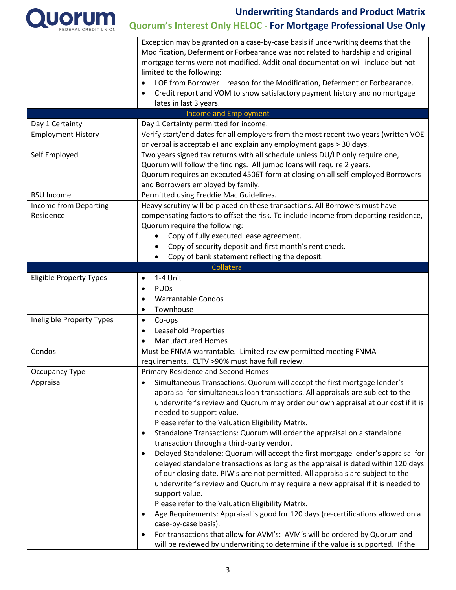

|                                | Exception may be granted on a case-by-case basis if underwriting deems that the                                                                                    |  |  |  |  |  |
|--------------------------------|--------------------------------------------------------------------------------------------------------------------------------------------------------------------|--|--|--|--|--|
|                                | Modification, Deferment or Forbearance was not related to hardship and original<br>mortgage terms were not modified. Additional documentation will include but not |  |  |  |  |  |
|                                | limited to the following:                                                                                                                                          |  |  |  |  |  |
|                                | LOE from Borrower - reason for the Modification, Deferment or Forbearance.<br>$\bullet$                                                                            |  |  |  |  |  |
|                                | Credit report and VOM to show satisfactory payment history and no mortgage<br>$\bullet$                                                                            |  |  |  |  |  |
|                                | lates in last 3 years.                                                                                                                                             |  |  |  |  |  |
|                                | <b>Income and Employment</b>                                                                                                                                       |  |  |  |  |  |
| Day 1 Certainty                | Day 1 Certainty permitted for income.                                                                                                                              |  |  |  |  |  |
| <b>Employment History</b>      | Verify start/end dates for all employers from the most recent two years (written VOE                                                                               |  |  |  |  |  |
|                                | or verbal is acceptable) and explain any employment gaps > 30 days.                                                                                                |  |  |  |  |  |
| Self Employed                  | Two years signed tax returns with all schedule unless DU/LP only require one,                                                                                      |  |  |  |  |  |
|                                | Quorum will follow the findings. All jumbo loans will require 2 years.                                                                                             |  |  |  |  |  |
|                                | Quorum requires an executed 4506T form at closing on all self-employed Borrowers                                                                                   |  |  |  |  |  |
|                                | and Borrowers employed by family.                                                                                                                                  |  |  |  |  |  |
| <b>RSU Income</b>              | Permitted using Freddie Mac Guidelines.                                                                                                                            |  |  |  |  |  |
| Income from Departing          | Heavy scrutiny will be placed on these transactions. All Borrowers must have                                                                                       |  |  |  |  |  |
| Residence                      | compensating factors to offset the risk. To include income from departing residence,                                                                               |  |  |  |  |  |
|                                | Quorum require the following:                                                                                                                                      |  |  |  |  |  |
|                                | Copy of fully executed lease agreement.<br>$\bullet$                                                                                                               |  |  |  |  |  |
|                                | Copy of security deposit and first month's rent check.                                                                                                             |  |  |  |  |  |
|                                | Copy of bank statement reflecting the deposit.<br>$\bullet$                                                                                                        |  |  |  |  |  |
|                                | Collateral                                                                                                                                                         |  |  |  |  |  |
| <b>Eligible Property Types</b> | 1-4 Unit<br>$\bullet$                                                                                                                                              |  |  |  |  |  |
|                                | <b>PUDs</b><br>$\bullet$                                                                                                                                           |  |  |  |  |  |
|                                | <b>Warrantable Condos</b>                                                                                                                                          |  |  |  |  |  |
|                                | Townhouse<br>$\bullet$                                                                                                                                             |  |  |  |  |  |
| Ineligible Property Types      | Co-ops<br>$\bullet$                                                                                                                                                |  |  |  |  |  |
|                                | <b>Leasehold Properties</b>                                                                                                                                        |  |  |  |  |  |
|                                | <b>Manufactured Homes</b><br>$\bullet$                                                                                                                             |  |  |  |  |  |
| Condos                         | Must be FNMA warrantable. Limited review permitted meeting FNMA                                                                                                    |  |  |  |  |  |
|                                | requirements. CLTV >90% must have full review.                                                                                                                     |  |  |  |  |  |
| Occupancy Type                 | Primary Residence and Second Homes                                                                                                                                 |  |  |  |  |  |
| Appraisal                      | Simultaneous Transactions: Quorum will accept the first mortgage lender's                                                                                          |  |  |  |  |  |
|                                | appraisal for simultaneous loan transactions. All appraisals are subject to the                                                                                    |  |  |  |  |  |
|                                | underwriter's review and Quorum may order our own appraisal at our cost if it is                                                                                   |  |  |  |  |  |
|                                | needed to support value.                                                                                                                                           |  |  |  |  |  |
|                                | Please refer to the Valuation Eligibility Matrix.                                                                                                                  |  |  |  |  |  |
|                                | Standalone Transactions: Quorum will order the appraisal on a standalone                                                                                           |  |  |  |  |  |
|                                | transaction through a third-party vendor.                                                                                                                          |  |  |  |  |  |
|                                | Delayed Standalone: Quorum will accept the first mortgage lender's appraisal for<br>$\bullet$                                                                      |  |  |  |  |  |
|                                | delayed standalone transactions as long as the appraisal is dated within 120 days                                                                                  |  |  |  |  |  |
|                                | of our closing date. PIW's are not permitted. All appraisals are subject to the                                                                                    |  |  |  |  |  |
|                                | underwriter's review and Quorum may require a new appraisal if it is needed to                                                                                     |  |  |  |  |  |
|                                | support value.                                                                                                                                                     |  |  |  |  |  |
|                                | Please refer to the Valuation Eligibility Matrix.                                                                                                                  |  |  |  |  |  |
|                                | Age Requirements: Appraisal is good for 120 days (re-certifications allowed on a                                                                                   |  |  |  |  |  |
|                                | case-by-case basis).                                                                                                                                               |  |  |  |  |  |
|                                | For transactions that allow for AVM's: AVM's will be ordered by Quorum and                                                                                         |  |  |  |  |  |
|                                | will be reviewed by underwriting to determine if the value is supported. If the                                                                                    |  |  |  |  |  |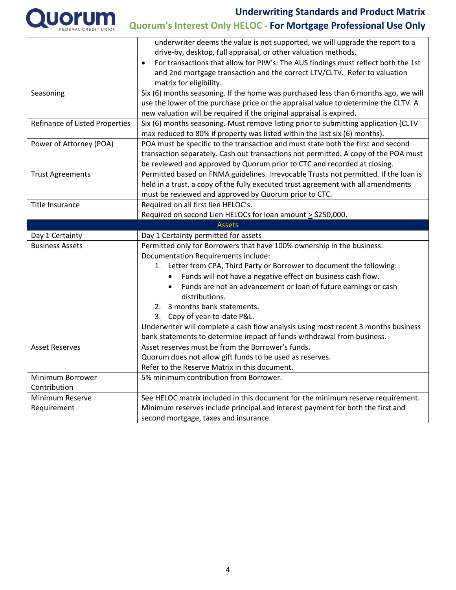

|                                       | underwriter deems the value is not supported, we will upgrade the report to a                                           |
|---------------------------------------|-------------------------------------------------------------------------------------------------------------------------|
|                                       | drive-by, desktop, full appraisal, or other valuation methods.                                                          |
|                                       | For transactions that allow for PIW's: The AUS findings must reflect both the 1st<br>$\bullet$                          |
|                                       | and 2nd mortgage transaction and the correct LTV/CLTV. Refer to valuation                                               |
|                                       | matrix for eligibility.                                                                                                 |
| Seasoning                             | Six (6) months seasoning. If the home was purchased less than 6 months ago, we will                                     |
|                                       | use the lower of the purchase price or the appraisal value to determine the CLTV. A                                     |
|                                       | new valuation will be required if the original appraisal is expired.                                                    |
| <b>Refinance of Listed Properties</b> | Six (6) months seasoning. Must remove listing prior to submitting application (CLTV                                     |
|                                       | max reduced to 80% if property was listed within the last six (6) months).                                              |
| Power of Attorney (POA)               | POA must be specific to the transaction and must state both the first and second                                        |
|                                       | transaction separately. Cash out transactions not permitted. A copy of the POA must                                     |
|                                       | be reviewed and approved by Quorum prior to CTC and recorded at closing.                                                |
| <b>Trust Agreements</b>               | Permitted based on FNMA guidelines. Irrevocable Trusts not permitted. If the loan is                                    |
|                                       | held in a trust, a copy of the fully executed trust agreement with all amendments                                       |
|                                       | must be reviewed and approved by Quorum prior to CTC.                                                                   |
| <b>Title Insurance</b>                | Required on all first lien HELOC's.                                                                                     |
|                                       | Required on second Lien HELOCs for loan amount $\geq$ \$250,000.                                                        |
|                                       | <b>Assets</b>                                                                                                           |
| Day 1 Certainty                       | Day 1 Certainty permitted for assets                                                                                    |
| <b>Business Assets</b>                | Permitted only for Borrowers that have 100% ownership in the business.                                                  |
|                                       |                                                                                                                         |
|                                       | <b>Documentation Requirements include:</b>                                                                              |
|                                       | 1. Letter from CPA, Third Party or Borrower to document the following:                                                  |
|                                       | Funds will not have a negative effect on business cash flow.                                                            |
|                                       | Funds are not an advancement or loan of future earnings or cash                                                         |
|                                       | distributions.                                                                                                          |
|                                       | 3 months bank statements.<br>2.                                                                                         |
|                                       | 3. Copy of year-to-date P&L.                                                                                            |
|                                       | Underwriter will complete a cash flow analysis using most recent 3 months business                                      |
|                                       | bank statements to determine impact of funds withdrawal from business.                                                  |
| <b>Asset Reserves</b>                 | Asset reserves must be from the Borrower's funds.                                                                       |
|                                       | Quorum does not allow gift funds to be used as reserves.                                                                |
|                                       | Refer to the Reserve Matrix in this document.                                                                           |
| Minimum Borrower                      | 5% minimum contribution from Borrower.                                                                                  |
| Contribution                          |                                                                                                                         |
| Minimum Reserve                       | See HELOC matrix included in this document for the minimum reserve requirement.                                         |
| Requirement                           | Minimum reserves include principal and interest payment for both the first and<br>second mortgage, taxes and insurance. |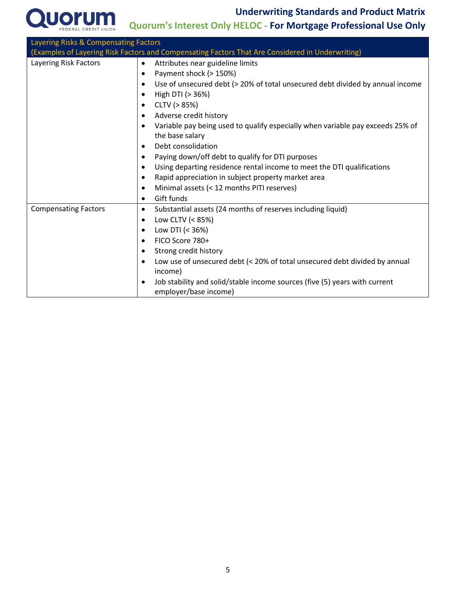

### **Underwriting Standards and Product Matrix**

**Quorum's Interest Only HELOC - For Mortgage Professional Use Only**

| Layering Risks & Compensating Factors |                                                                                                                  |  |  |  |  |  |
|---------------------------------------|------------------------------------------------------------------------------------------------------------------|--|--|--|--|--|
|                                       | (Examples of Layering Risk Factors and Compensating Factors That Are Considered in Underwriting)                 |  |  |  |  |  |
| Layering Risk Factors                 | Attributes near guideline limits<br>$\bullet$                                                                    |  |  |  |  |  |
| Payment shock (> 150%)<br>$\bullet$   |                                                                                                                  |  |  |  |  |  |
|                                       | Use of unsecured debt (> 20% of total unsecured debt divided by annual income<br>$\bullet$                       |  |  |  |  |  |
|                                       | High DTI (> 36%)<br>$\bullet$                                                                                    |  |  |  |  |  |
|                                       | CLTV (> 85%)<br>٠                                                                                                |  |  |  |  |  |
|                                       | Adverse credit history<br>$\bullet$                                                                              |  |  |  |  |  |
|                                       | Variable pay being used to qualify especially when variable pay exceeds 25% of<br>$\bullet$<br>the base salary   |  |  |  |  |  |
|                                       | Debt consolidation<br>$\bullet$                                                                                  |  |  |  |  |  |
|                                       | Paying down/off debt to qualify for DTI purposes<br>$\bullet$                                                    |  |  |  |  |  |
|                                       | Using departing residence rental income to meet the DTI qualifications<br>$\bullet$                              |  |  |  |  |  |
|                                       | Rapid appreciation in subject property market area                                                               |  |  |  |  |  |
|                                       | Minimal assets (< 12 months PITI reserves)                                                                       |  |  |  |  |  |
|                                       | Gift funds<br>$\bullet$                                                                                          |  |  |  |  |  |
| <b>Compensating Factors</b>           | Substantial assets (24 months of reserves including liquid)<br>$\bullet$                                         |  |  |  |  |  |
|                                       | Low CLTV (< 85%)<br>$\bullet$                                                                                    |  |  |  |  |  |
|                                       | Low DTI (< 36%)<br>$\bullet$                                                                                     |  |  |  |  |  |
|                                       | FICO Score 780+<br>$\bullet$                                                                                     |  |  |  |  |  |
|                                       | Strong credit history<br>$\bullet$                                                                               |  |  |  |  |  |
|                                       | Low use of unsecured debt (< 20% of total unsecured debt divided by annual<br>$\bullet$<br>income)               |  |  |  |  |  |
|                                       | Job stability and solid/stable income sources (five (5) years with current<br>$\bullet$<br>employer/base income) |  |  |  |  |  |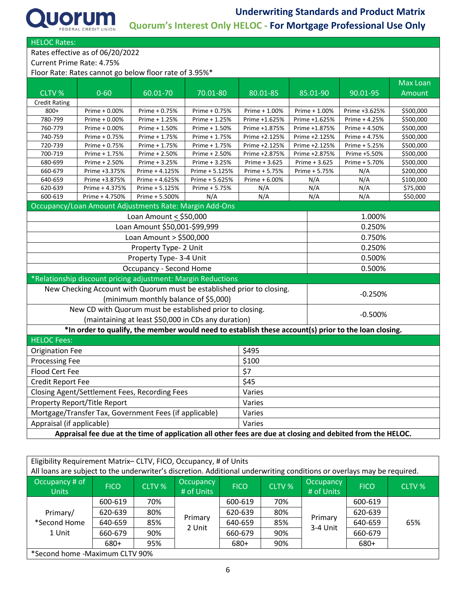

HELOC Rates:

Rates effective as of 06/20/2022

Current Prime Rate: 4.75%

Floor Rate: Rates cannot go below floor rate of 3.95%\*

|                                                                                                            |                                                                                                      |                                                     |                |                            |               |           |               | <b>Max Loan</b> |
|------------------------------------------------------------------------------------------------------------|------------------------------------------------------------------------------------------------------|-----------------------------------------------------|----------------|----------------------------|---------------|-----------|---------------|-----------------|
| CLTV %                                                                                                     | $0 - 60$                                                                                             | 60.01-70                                            | 70.01-80       | $80.01 - 85$               | 85.01-90      |           | 90.01-95      | Amount          |
| <b>Credit Rating</b>                                                                                       |                                                                                                      |                                                     |                |                            |               |           |               |                 |
| $800+$                                                                                                     | Prime + 0.00%                                                                                        | Prime + 0.75%                                       | Prime + 0.75%  | Prime + 1.00%              | Prime + 1.00% |           | Prime +3.625% | \$500,000       |
| 780-799                                                                                                    | Prime + 0.00%                                                                                        | Prime + 1.25%                                       | Prime + 1.25%  | Prime +1.625%              | Prime +1.625% |           | Prime + 4.25% | \$500,000       |
| 760-779                                                                                                    | Prime + 0.00%                                                                                        | Prime + 1.50%                                       | Prime + 1.50%  | Prime +1.875%              | Prime +1.875% |           | Prime + 4.50% | \$500,000       |
| 740-759                                                                                                    | Prime + 0.75%                                                                                        | Prime + 1.75%                                       | Prime + 1.75%  | Prime +2.125%              | Prime +2.125% |           | Prime + 4.75% | \$500,000       |
| 720-739                                                                                                    | Prime + 0.75%                                                                                        | Prime + 1.75%                                       | Prime + 1.75%  | Prime +2.125%              | Prime +2.125% |           | Prime + 5.25% | \$500,000       |
| 700-719                                                                                                    | Prime + 1.75%                                                                                        | Prime + 2.50%                                       | Prime + 2.50%  | Prime +2.875%              | Prime +2.875% |           | Prime +5.50%  | \$500,000       |
| 680-699                                                                                                    | Prime + 2.50%                                                                                        | Prime + 3.25%                                       | Prime + 3.25%  | Prime + 3.625              | Prime + 3.625 |           | Prime + 5.70% | \$500,000       |
| 660-679                                                                                                    | Prime +3.375%                                                                                        | Prime + 4.125%                                      | Prime + 5.125% | Prime + 5.75%              | Prime + 5.75% |           | N/A           | \$200,000       |
| 640-659                                                                                                    | Prime +3.875%                                                                                        | Prime + 4.625%                                      | Prime + 5.625% | Prime + 6.00%              | N/A           |           | N/A           | \$100,000       |
| 620-639<br>600-619                                                                                         | Prime + 4.375%                                                                                       | Prime + 5.125%<br>Prime + 5.500%                    | Prime + 5.75%  | N/A                        | N/A           |           | N/A           | \$75,000        |
|                                                                                                            | Prime + 4.750%                                                                                       |                                                     | N/A            | N/A                        | N/A           |           | N/A           | \$50,000        |
|                                                                                                            | Occupancy/Loan Amount Adjustments Rate: Margin Add-Ons                                               |                                                     |                |                            |               |           |               |                 |
|                                                                                                            |                                                                                                      | Loan Amount $\le$ \$50,000                          |                |                            |               |           | 1.000%        |                 |
|                                                                                                            |                                                                                                      | Loan Amount \$50,001-\$99,999                       |                |                            |               | 0.250%    |               |                 |
|                                                                                                            |                                                                                                      | Loan Amount > \$500,000                             |                |                            |               | 0.750%    |               |                 |
|                                                                                                            |                                                                                                      | Property Type- 2 Unit                               |                |                            |               | 0.250%    |               |                 |
|                                                                                                            |                                                                                                      | Property Type- 3-4 Unit                             |                |                            |               |           | 0.500%        |                 |
|                                                                                                            |                                                                                                      | <b>Occupancy - Second Home</b>                      |                |                            |               |           | 0.500%        |                 |
| *Relationship discount pricing adjustment: Margin Reductions                                               |                                                                                                      |                                                     |                |                            |               |           |               |                 |
| New Checking Account with Quorum must be established prior to closing.<br>$-0.250%$                        |                                                                                                      |                                                     |                |                            |               |           |               |                 |
|                                                                                                            |                                                                                                      | (minimum monthly balance of \$5,000)                |                |                            |               |           |               |                 |
|                                                                                                            | New CD with Quorum must be established prior to closing.                                             |                                                     |                |                            |               | $-0.500%$ |               |                 |
|                                                                                                            |                                                                                                      | (maintaining at least \$50,000 in CDs any duration) |                |                            |               |           |               |                 |
|                                                                                                            | *In order to qualify, the member would need to establish these account(s) prior to the loan closing. |                                                     |                |                            |               |           |               |                 |
| <b>HELOC Fees:</b>                                                                                         |                                                                                                      |                                                     |                |                            |               |           |               |                 |
| \$495<br><b>Origination Fee</b>                                                                            |                                                                                                      |                                                     |                |                            |               |           |               |                 |
| Processing Fee                                                                                             |                                                                                                      |                                                     |                | \$100                      |               |           |               |                 |
| Flood Cert Fee                                                                                             |                                                                                                      |                                                     |                | $\overline{\overline{57}}$ |               |           |               |                 |
| \$45<br><b>Credit Report Fee</b>                                                                           |                                                                                                      |                                                     |                |                            |               |           |               |                 |
| Closing Agent/Settlement Fees, Recording Fees<br>Varies                                                    |                                                                                                      |                                                     |                |                            |               |           |               |                 |
| Property Report/Title Report<br>Varies                                                                     |                                                                                                      |                                                     |                |                            |               |           |               |                 |
|                                                                                                            | Mortgage/Transfer Tax, Government Fees (if applicable)<br>Varies                                     |                                                     |                |                            |               |           |               |                 |
|                                                                                                            | Appraisal (if applicable)<br>Varies                                                                  |                                                     |                |                            |               |           |               |                 |
| Appraisal fee due at the time of application all other fees are due at closing and debited from the HELOC. |                                                                                                      |                                                     |                |                            |               |           |               |                 |

Eligibility Requirement Matrix– CLTV, FICO, Occupancy, # of Units All loans are subject to the underwriter's discretion. Additional underwriting conditions or overlays may be required.

| Occupancy # of '<br><b>Units</b>   | <b>FICO</b> | CLTV % | Occupancy<br># of Units | <b>FICO</b> | CLTV % | <b>Occupancy</b><br># of Units | <b>FICO</b> | CLTV % |
|------------------------------------|-------------|--------|-------------------------|-------------|--------|--------------------------------|-------------|--------|
|                                    | 600-619     | 70%    |                         | 600-619     | 70%    |                                | 600-619     |        |
| Primary/<br>*Second Home<br>1 Unit | 620-639     | 80%    | Primary<br>2 Unit       | 620-639     | 80%    | Primary<br>3-4 Unit            | 620-639     | 65%    |
|                                    | 640-659     | 85%    |                         | 640-659     | 85%    |                                | 640-659     |        |
|                                    | 660-679     | 90%    |                         | 660-679     | 90%    |                                | 660-679     |        |
|                                    | 680+        | 95%    |                         | 680+        | 90%    |                                | 680+        |        |
| *Second home -Maximum CLTV 90%     |             |        |                         |             |        |                                |             |        |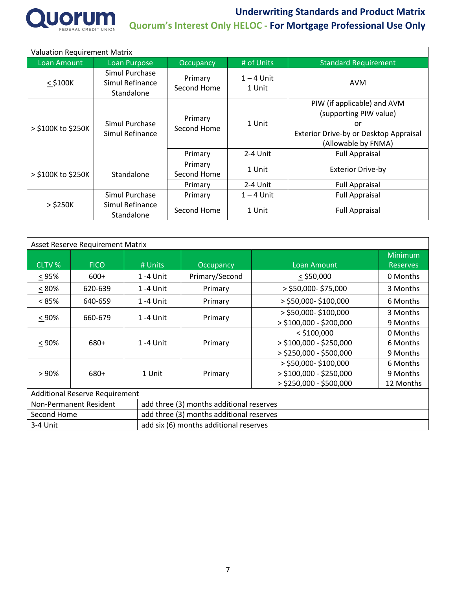

| <b>Valuation Requirement Matrix</b> |                                                 |                        |                        |                                                                                                                              |  |  |  |
|-------------------------------------|-------------------------------------------------|------------------------|------------------------|------------------------------------------------------------------------------------------------------------------------------|--|--|--|
| Loan Amount                         | <b>Loan Purpose</b>                             | Occupancy              | # of Units             | <b>Standard Requirement</b>                                                                                                  |  |  |  |
| $<$ \$100 $K$                       | Simul Purchase<br>Simul Refinance<br>Standalone | Primary<br>Second Home | $1 - 4$ Unit<br>1 Unit | AVM                                                                                                                          |  |  |  |
| > \$100K to \$250K                  | Simul Purchase<br>Simul Refinance               | Primary<br>Second Home | 1 Unit                 | PIW (if applicable) and AVM<br>(supporting PIW value)<br>or<br>Exterior Drive-by or Desktop Appraisal<br>(Allowable by FNMA) |  |  |  |
|                                     |                                                 | Primary                | 2-4 Unit               | <b>Full Appraisal</b>                                                                                                        |  |  |  |
| > \$100K to \$250K                  | Standalone                                      | Primary<br>Second Home | 1 Unit                 | <b>Exterior Drive-by</b>                                                                                                     |  |  |  |
|                                     |                                                 | Primary                | 2-4 Unit               | <b>Full Appraisal</b>                                                                                                        |  |  |  |
|                                     | Simul Purchase                                  | Primary                | $1 - 4$ Unit           | <b>Full Appraisal</b>                                                                                                        |  |  |  |
| $>$ \$250K                          | Simul Refinance<br>Standalone                   | Second Home            | 1 Unit                 | <b>Full Appraisal</b>                                                                                                        |  |  |  |

| Asset Reserve Requirement Matrix                   |                        |                           |                                          |                           |                 |  |  |
|----------------------------------------------------|------------------------|---------------------------|------------------------------------------|---------------------------|-----------------|--|--|
|                                                    |                        |                           |                                          |                           | <b>Minimum</b>  |  |  |
| CLTV %                                             | <b>FICO</b>            | # Units                   | Occupancy                                | Loan Amount               | <b>Reserves</b> |  |  |
| $\leq 95\%$                                        | $600+$                 | 1 -4 Unit                 | Primary/Second                           | $<$ \$50,000              | 0 Months        |  |  |
| $\leq 80\%$                                        | 620-639                | 1 -4 Unit                 | Primary                                  | $>$ \$50,000-\$75,000     | 3 Months        |  |  |
| $< 85\%$                                           | 640-659                | 1 -4 Unit                 | Primary                                  | > \$50,000-\$100,000      | 6 Months        |  |  |
|                                                    |                        | 1 -4 Unit                 | Primary                                  | > \$50,000-\$100,000      | 3 Months        |  |  |
| $< 90\%$<br>660-679                                |                        | $>$ \$100,000 - \$200,000 |                                          | 9 Months                  |                 |  |  |
| 680+<br>$< 90\%$                                   |                        |                           | Primary                                  | $<$ \$100,000             | 0 Months        |  |  |
|                                                    |                        | $1 - 4$ Unit              |                                          | $>$ \$100,000 - \$250,000 | 6 Months        |  |  |
|                                                    |                        |                           |                                          | > \$250,000 - \$500,000   | 9 Months        |  |  |
|                                                    |                        |                           |                                          | > \$50,000- \$100,000     | 6 Months        |  |  |
| > 90%                                              | 680+                   | 1 Unit                    | Primary                                  | $>$ \$100,000 - \$250,000 | 9 Months        |  |  |
|                                                    |                        |                           |                                          | > \$250,000 - \$500,000   | 12 Months       |  |  |
| <b>Additional Reserve Requirement</b>              |                        |                           |                                          |                           |                 |  |  |
|                                                    | Non-Permanent Resident |                           | add three (3) months additional reserves |                           |                 |  |  |
| Second Home                                        |                        |                           | add three (3) months additional reserves |                           |                 |  |  |
| add six (6) months additional reserves<br>3-4 Unit |                        |                           |                                          |                           |                 |  |  |